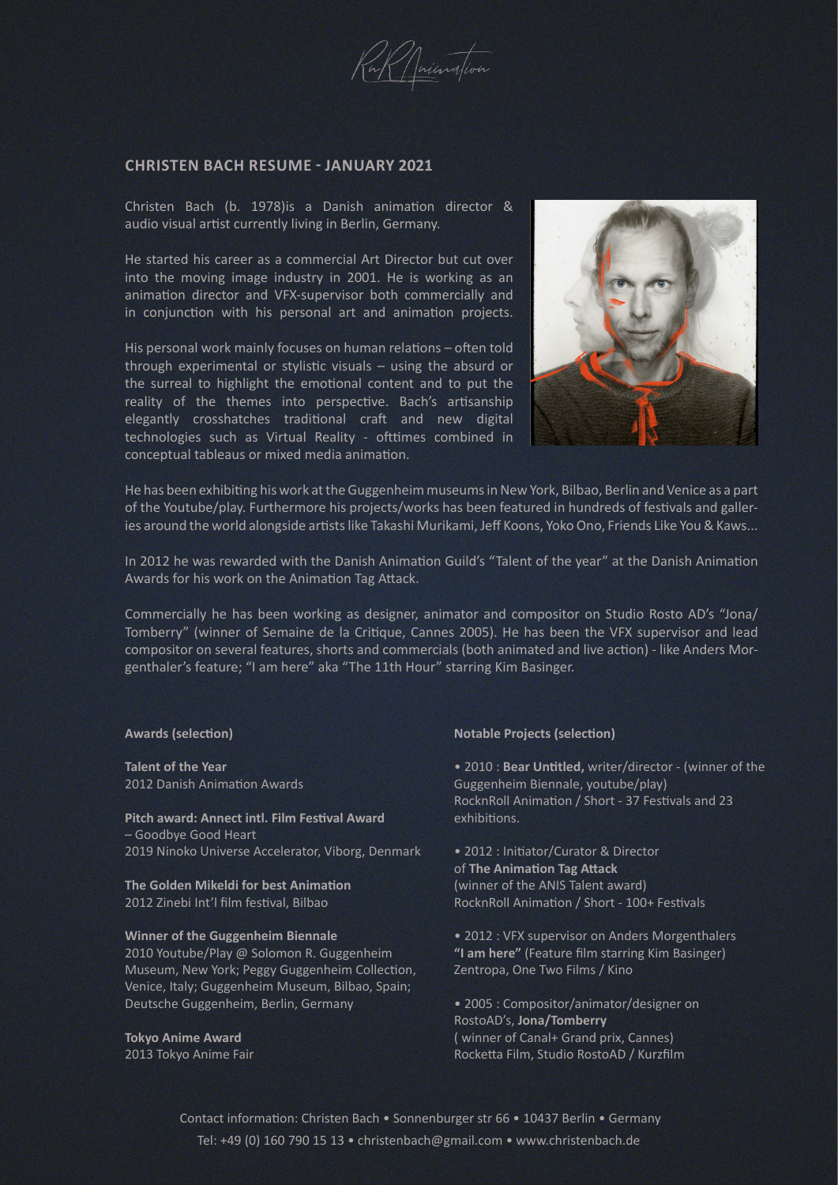w/ principion

# **CHRISTEN BACH RESUME - JANUARY 2021**

Christen Bach (b. 1978)is a Danish animation director & audio visual artist currently living in Berlin, Germany.

He started his career as a commercial Art Director but cut over into the moving image industry in 2001. He is working as an animation director and VFX-supervisor both commercially and in conjunction with his personal art and animation projects.

His personal work mainly focuses on human relations – often told through experimental or stylistic visuals – using the absurd or the surreal to highlight the emotional content and to put the reality of the themes into perspective. Bach's artisanship elegantly crosshatches traditional craft and new digital technologies such as Virtual Reality - ofttimes combined in conceptual tableaus or mixed media animation.



He has been exhibiting his work at the Guggenheim museums in New York, Bilbao, Berlin and Venice as a part of the Youtube/play. Furthermore his projects/works has been featured in hundreds of festivals and galleries around the world alongside artists like Takashi Murikami, Jeff Koons, Yoko Ono, Friends Like You & Kaws...

In 2012 he was rewarded with the Danish Animation Guild's "Talent of the year" at the Danish Animation Awards for his work on the Animation Tag Attack.

Commercially he has been working as designer, animator and compositor on Studio Rosto AD's "Jona/ Tomberry" (winner of Semaine de la Critique, Cannes 2005). He has been the VFX supervisor and lead compositor on several features, shorts and commercials (both animated and live action) - like Anders Morgenthaler's feature; "I am here" aka "The 11th Hour" starring Kim Basinger.

### **Awards (selection)**

**Talent of the Year** 2012 Danish Animation Awards

**Pitch award: Annect intl. Film Festival Award** – Goodbye Good Heart 2019 Ninoko Universe Accelerator, Viborg, Denmark

**The Golden Mikeldi for best Animation** 2012 Zinebi Int'l film festival, Bilbao

**Winner of the Guggenheim Biennale**  2010 Youtube/Play @ Solomon R. Guggenheim Museum, New York; Peggy Guggenheim Collection, Venice, Italy; Guggenheim Museum, Bilbao, Spain; Deutsche Guggenheim, Berlin, Germany

**Tokyo Anime Award**  2013 Tokyo Anime Fair

# **Notable Projects (selection)**

• 2010 : **Bear Untitled,** writer/director - (winner of the Guggenheim Biennale, youtube/play) RocknRoll Animation / Short - 37 Festivals and 23 exhibitions.

• 2012 : Initiator/Curator & Director of **The Animation Tag Attack** (winner of the ANIS Talent award) RocknRoll Animation / Short - 100+ Festivals

• 2012 : VFX supervisor on Anders Morgenthalers **"I am here"** (Feature film starring Kim Basinger) Zentropa, One Two Films / Kino

• 2005 : Compositor/animator/designer on RostoAD's, **Jona/Tomberry**  ( winner of Canal+ Grand prix, Cannes) Rocketta Film, Studio RostoAD / Kurzfilm

 Contact information: Christen Bach • Sonnenburger str 66 • 10437 Berlin • Germany Tel: +49 (0) 160 790 15 13 • christenbach@gmail.com • www.christenbach.de